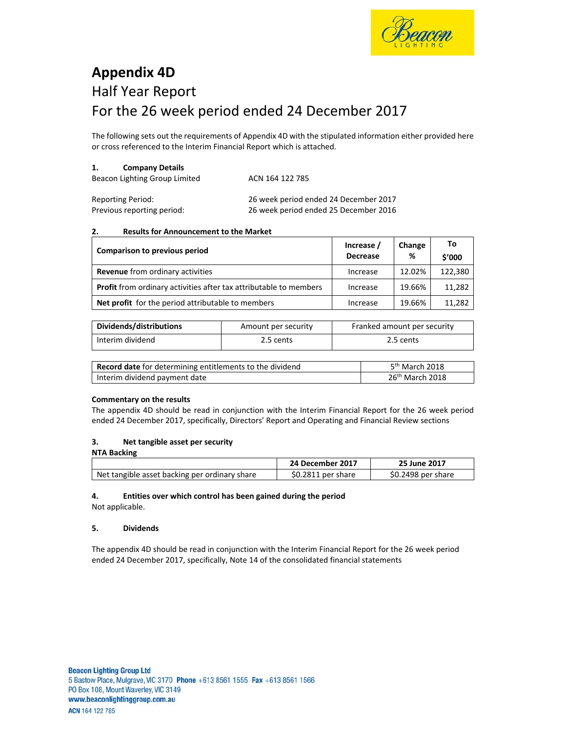

# **Appendix 4D**  Half Year Report For the 26 week period ended 24 December 2017

The following sets out the requirements of Appendix 4D with the stipulated information either provided here or cross referenced to the Interim Financial Report which is attached.

### **1. Company Details**

| Beacon Lighting Group Limited | ACN 164 122 785 |  |
|-------------------------------|-----------------|--|
|                               |                 |  |

| <b>Reporting Period:</b>   | 26 week period ended 24 December 2017 |
|----------------------------|---------------------------------------|
| Previous reporting period: | 26 week period ended 25 December 2016 |

#### **2. Results for Announcement to the Market**

| Comparison to previous period                                            | Increase /<br><b>Decrease</b> | Change<br>% | To<br>\$'000 |
|--------------------------------------------------------------------------|-------------------------------|-------------|--------------|
| <b>Revenue</b> from ordinary activities                                  | Increase                      | 12.02%      | 122,380      |
| <b>Profit</b> from ordinary activities after tax attributable to members | Increase                      | 19.66%      | 11.282       |
| Net profit for the period attributable to members                        | Increase                      | 19.66%      | 11,282       |

| Dividends/distributions | Amount per security | Franked amount per security |
|-------------------------|---------------------|-----------------------------|
| Interim dividend        | 2.5 cents           | 2.5 cents                   |

| Record date for determining entitlements to the dividend | 5 <sup>th</sup> March 2018 |
|----------------------------------------------------------|----------------------------|
| Interim dividend payment date                            | $26th$ March 2018          |

### **Commentary on the results**

The appendix 4D should be read in conjunction with the Interim Financial Report for the 26 week period ended 24 December 2017, specifically, Directors' Report and Operating and Financial Review sections

#### **3. Net tangible asset per security NTA Backing**

| <b>IVIA DALNIIK</b>                           |                    |                    |
|-----------------------------------------------|--------------------|--------------------|
|                                               | 24 December 2017   | 25 June 2017       |
| Net tangible asset backing per ordinary share | \$0.2811 per share | \$0.2498 per share |

# **4. Entities over which control has been gained during the period**

Not applicable.

### **5. Dividends**

The appendix 4D should be read in conjunction with the Interim Financial Report for the 26 week period ended 24 December 2017, specifically, Note 14 of the consolidated financial statements